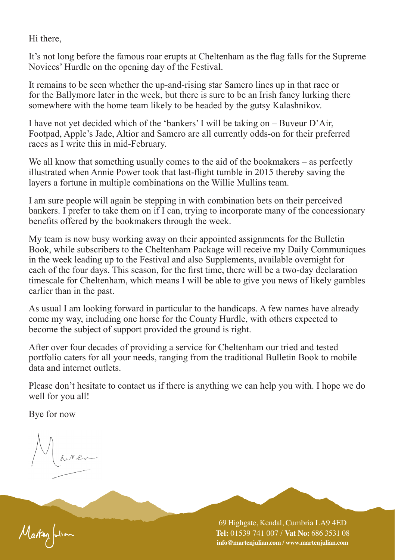Hi there,

It's not long before the famous roar erupts at Cheltenham as the flag falls for the Supreme Novices' Hurdle on the opening day of the Festival.

It remains to be seen whether the up-and-rising star Samcro lines up in that race or for the Ballymore later in the week, but there is sure to be an Irish fancy lurking there somewhere with the home team likely to be headed by the gutsy Kalashnikov.

I have not yet decided which of the 'bankers' I will be taking on – Buveur D'Air, Footpad, Apple's Jade, Altior and Samcro are all currently odds-on for their preferred races as I write this in mid-February.

We all know that something usually comes to the aid of the bookmakers – as perfectly illustrated when Annie Power took that last-flight tumble in 2015 thereby saving the layers a fortune in multiple combinations on the Willie Mullins team.

I am sure people will again be stepping in with combination bets on their perceived bankers. I prefer to take them on if I can, trying to incorporate many of the concessionary benefits offered by the bookmakers through the week.

My team is now busy working away on their appointed assignments for the Bulletin Book, while subscribers to the Cheltenham Package will receive my Daily Communiques in the week leading up to the Festival and also Supplements, available overnight for each of the four days. This season, for the first time, there will be a two-day declaration timescale for Cheltenham, which means I will be able to give you news of likely gambles earlier than in the past.

As usual I am looking forward in particular to the handicaps. A few names have already come my way, including one horse for the County Hurdle, with others expected to become the subject of support provided the ground is right.

After over four decades of providing a service for Cheltenham our tried and tested portfolio caters for all your needs, ranging from the traditional Bulletin Book to mobile data and internet outlets.

Please don't hesitate to contact us if there is anything we can help you with. I hope we do well for you all!

Bye for now

Marten fution

69 Highgate, Kendal, Cumbria LA9 4ED **Tel:** 01539 741 007 / **Vat No:** 686 3531 08 **info@martenjulian.com / www.martenjulian.com**